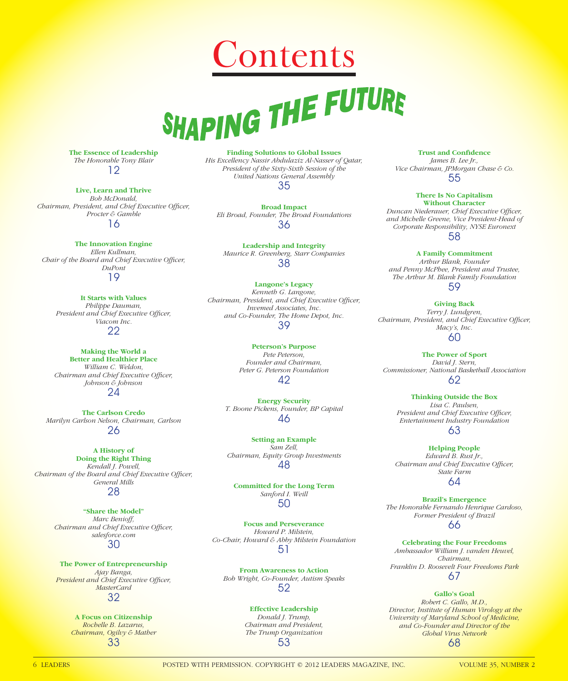# **Contents**<br>SHAPING THE FUTURE

**The Essence of Leadership** *The Honorable Tony Blair* 12

**Live, Learn and Thrive** *Bob McDonald,*  Chairman, President, and Chief Executive Officer, *Procter & Gamble* 16

**The Innovation Engine** *Ellen Kullman, Chair of the Board and Chief Executive Officer, DuPont* 19

**It Starts with Values** *Philippe Dauman, President and Chief Executive Officer, Viacom Inc.* 22

**Making the World a Better and Healthier Place** *William C. Weldon, Chairman and Chief Executive Officer, Johnson & Johnson* 24

**The Carlson Credo** *Marilyn Carlson Nelson, Chairman, Carlson* 26

**A History of Doing the Right Thing** *Kendall J. Powell, Chairman of the Board and Chief Executive Officer, General Mills* 28

> **"Share the Model"** *Marc Benioff, Chairman and Chief Executive Officer, salesforce.com* 30

**The Power of Entrepreneurship** *Ajay Banga,*  **President and Chief Executive Officer,** *MasterCard* 32

> **A Focus on Citizenship** *Rochelle B. Lazarus, Chairman, Ogilvy & Mather* 33

**Finding Solutions to Global Issues** *His Excellency Nassir Abdulaziz Al-Nasser of Qatar, President of the Sixty-Sixth Session of the United Nations General Assembly* 35

**Broad Impact** *Eli Broad, Founder, The Broad Foundations* 36

**Leadership and Integrity** *Maurice R. Greenberg, Starr Companies* 38

**Langone's Legacy** *Kenneth G. Langone, Chairman, President, and Chief Executive Officer, Invemed Associates, Inc. and Co-Founder, The Home Depot, Inc.* 39

> **Peterson's Purpose** *Pete Peterson, Founder and Chairman, Peter G. Peterson Foundation* 42

**Energy Security** *T. Boone Pickens, Founder, BP Capital* 46

**Setting an Example** *Sam Zell, Chairman, Equity Group Investments* 48

**Committed for the Long Term** *Sanford I. Weill* 50

**Focus and Perseverance** *Howard P. Milstein, Co-Chair, Howard & Abby Milstein Foundation* 51

**From Awareness to Action** *Bob Wright, Co-Founder, Autism Speaks* 52

> **Effective Leadership** *Donald J. Trump, Chairman and President, The Trump Organization* 53

**Trust and Confidence** *James B. Lee Jr., Vice Chairman, JPMorgan Chase & Co.* 55

**There Is No Capitalism Without Character Duncan Niederauer, Chief Executive Officer,** *and Michelle Greene, Vice President-Head of Corporate Responsibility, NYSE Euronext* 58

**A Family Commitment** *Arthur Blank, Founder and Penny McPhee, President and Trustee, The Arthur M. Blank Family Foundation*

59

**Giving Back** *Terry J. Lundgren,*  Chairman, President, and Chief Executive Officer, *Macy's, Inc.*

60 **The Power of Sport** *David J. Stern, Commissioner, National Basketball Association*

62

**Thinking Outside the Box** *Lisa C. Paulsen, President and Chief Executive Officer, Entertainment Industry Foundation* 63

**Helping People** *Edward B. Rust Jr., Chairman and Chief Executive Officer, State Farm* 64

**Brazil's Emergence** *The Honorable Fernando Henrique Cardoso, Former President of Brazil* 66

**Celebrating the Four Freedoms** *Ambassador William J. vanden Heuvel, Chairman, Franklin D. Roosevelt Four Freedoms Park* 67

**Gallo's Goal** *Robert C. Gallo, M.D., Director, Institute of Human Virology at the University of Maryland School of Medicine, and Co-Founder and Director of the Global Virus Network* 68

6 LEADERS POSTED WITH PERMISSION. COPYRIGHT © 2012 LEADERS MAGAZINE, INC. VOLUME 35, NUMBER 2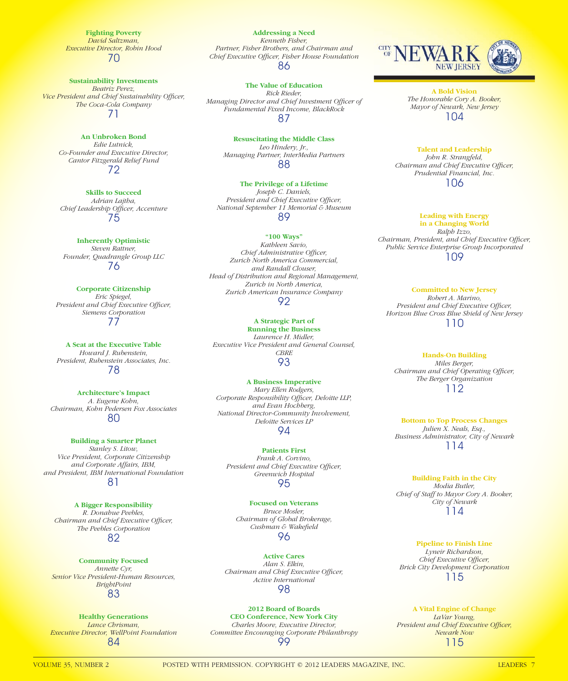**Fighting Poverty** *David Saltzman, Executive Director, Robin Hood* 70

**Sustainability Investments**

*Beatriz Perez,*  **Vice President and Chief Sustainability Officer,** *The Coca-Cola Company* 71

### **An Unbroken Bond**

*Edie Lutnick, Co-Founder and Executive Director, Cantor Fitzgerald Relief Fund* 72

**Skills to Succeed**

*Adrian Lajtha, Chief Leadership Offi cer, Accenture* 75

**Inherently Optimistic** *Steven Rattner, Founder, Quadrangle Group LLC* 76

**Corporate Citizenship** *Eric Spiegel, President and Chief Executive Officer, Siemens Corporation* 77

**A Seat at the Executive Table** *Howard J. Rubenstein, President, Rubenstein Associates, Inc.* 78

**Architecture's Impact** *A. Eugene Kohn, Chairman, Kohn Pedersen Fox Associates* 80

**Building a Smarter Planet** *Stanley S. Litow, Vice President, Corporate Citizenship and Corporate Affairs, IBM, and President, IBM International Foundation* 81

**A Bigger Responsibility** *R. Donahue Peebles, Chairman and Chief Executive Officer, The Peebles Corporation* 82

**Community Focused** *Annette Cyr, Senior Vice President-Human Resources, BrightPoint* 83

**Healthy Generations** *Lance Chrisman, Executive Director, WellPoint Foundation* 84

**Addressing a Need** *Kenneth Fisher, Partner, Fisher Brothers, and Chairman and Chief Executive Offi cer, Fisher House Foundation* 86

**The Value of Education** *Rick Rieder,* **Managing Director and Chief Investment Officer of** *Fundamental Fixed Income, BlackRock* 87

> **Resuscitating the Middle Class** *Leo Hindery, Jr., Managing Partner, InterMedia Partners*

> > 88

**The Privilege of a Lifetime** *Joseph C. Daniels, President and Chief Executive Officer, National September 11 Memorial & Museum* 89

**"100 Ways"** *Kathleen Savio, Chief Administrative Officer, Zurich North America Commercial, and Randall Clouser, Head of Distribution and Regional Management, Zurich in North America, Zurich American Insurance Company*  92

**A Strategic Part of Running the Business** *Laurence H. Midler, Executive Vice President and General Counsel, CBRE* 93

**A Business Imperative** *Mary Ellen Rodgers,*  Corporate Responsibility Officer, Deloitte LLP, *and Evan Hochberg, National Director-Community Involvement, Deloitte Services LP* 94

**Patients First** *Frank A. Corvino,*  President and Chief Executive Officer, *Greenwich Hospital* 95

**Focused on Veterans** *Bruce Mosler, Chairman of Global Brokerage,*   $C$ ushman & Wakefield 96

**Active Cares** *Alan S. Elkin, Chairman and Chief Executive Officer, Active International* 98

**2012 Board of Boards CEO Conference, New York City** *Charles Moore, Executive Director, Committee Encouraging Corporate Philanthropy* 99



**A Bold Vision** *The Honorable Cory A. Booker, Mayor of Newark, New Jersey* 104

**Talent and Leadership** *John R. Strangfeld, Chairman and Chief Executive Officer, Prudential Financial, Inc.* 106

**Leading with Energy** 

**in a Changing World** *Ralph Izzo, Chairman, President, and Chief Executive Officer, Public Service Enterprise Group Incorporated* 109

**Committed to New Jersey** *Robert A. Marino,*  **President and Chief Executive Officer,** *Horizon Blue Cross Blue Shield of New Jersey* 110

**Hands-On Building** *Miles Berger, Chairman and Chief Operating Officer, The Berger Organization*

112

**Bottom to Top Process Changes** *Julien X. Neals, Esq., Business Administrator, City of Newark* 114

**Building Faith in the City** *Modia Butler, Chief of Staff to Mayor Cory A. Booker, City of Newark* 114

**Pipeline to Finish Line** *Lyneir Richardson , Chief Executive Officer, Brick City Development Corporation* 115

**A Vital Engine of Change** *LaVar Young,*  **President and Chief Executive Officer,** *Newark Now* 115

VOLUME 35, NUMBER 2 POSTED WITH PERMISSION. COPYRIGHT © 2012 LEADERS MAGAZINE, INC. LEADERS 7